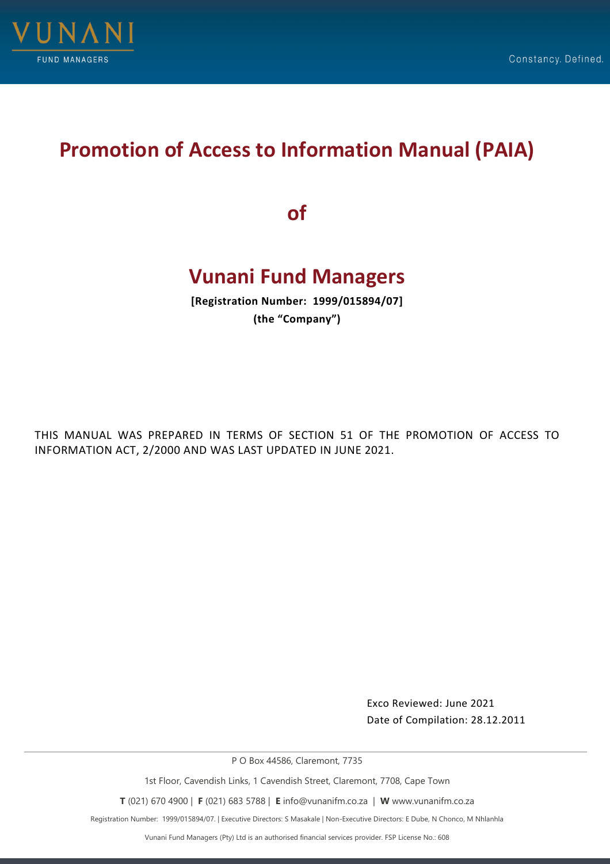

# **Promotion of Access to Information Manual (PAIA)**

**of**

# **Vunani Fund Managers**

**[Registration Number: 1999/015894/07] (the "Company")**

THIS MANUAL WAS PREPARED IN TERMS OF SECTION 51 OF THE PROMOTION OF ACCESS TO INFORMATION ACT, 2/2000 AND WAS LAST UPDATED IN JUNE 2021.

> Exco Reviewed: June 2021 Date of Compilation: 28.12.2011

P O Box 44586, Claremont, 7735

1st Floor, Cavendish Links, 1 Cavendish Street, Claremont, 7708, Cape Town

**T** (021) 670 4900 | **F** (021) 683 5788 | **E** info@vunanifm.co.za | **W** www.vunanifm.co.za

Registration Number: 1999/015894/07. | Executive Directors: S Masakale | Non-Executive Directors: E Dube, N Chonco, M Nhlanhla

Vunani Fund Managers (Pty) Ltd is an authorised financial services provider. FSP License No.: 608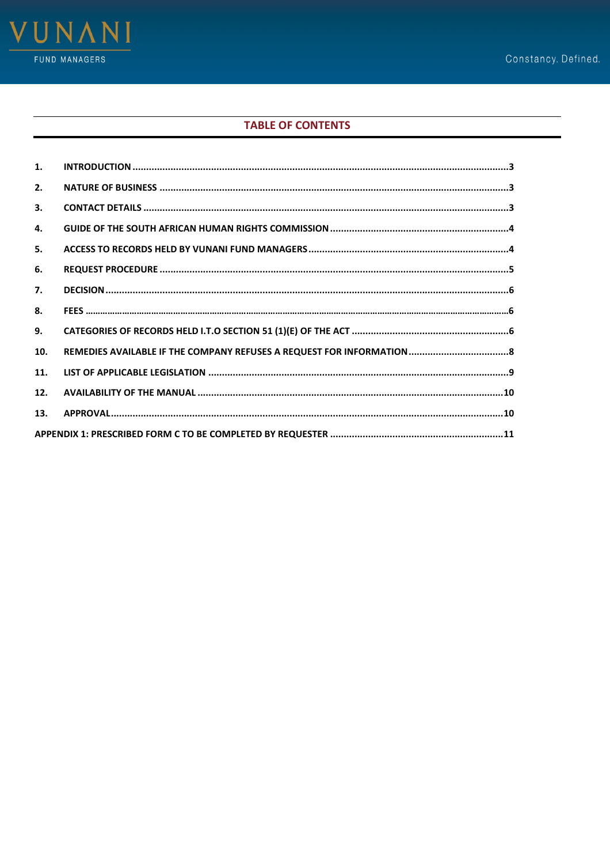

# **TABLE OF CONTENTS**

| 1.  |  |  |  |  |
|-----|--|--|--|--|
| 2.  |  |  |  |  |
| 3.  |  |  |  |  |
| 4.  |  |  |  |  |
| 5.  |  |  |  |  |
| 6.  |  |  |  |  |
| 7.  |  |  |  |  |
| 8.  |  |  |  |  |
| 9.  |  |  |  |  |
| 10. |  |  |  |  |
| 11. |  |  |  |  |
| 12. |  |  |  |  |
| 13. |  |  |  |  |
|     |  |  |  |  |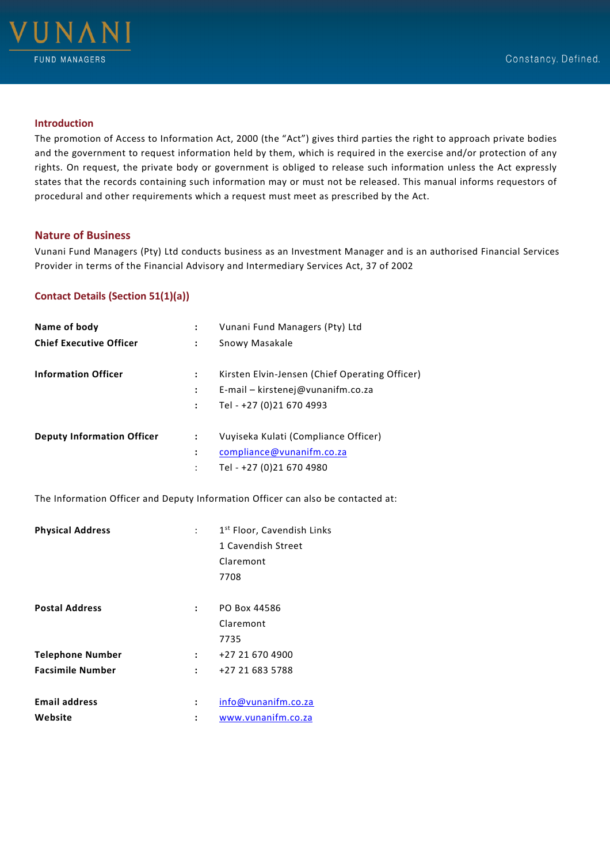

## <span id="page-2-0"></span>**Introduction**

The promotion of Access to Information Act, 2000 (the "Act") gives third parties the right to approach private bodies and the government to request information held by them, which is required in the exercise and/or protection of any rights. On request, the private body or government is obliged to release such information unless the Act expressly states that the records containing such information may or must not be released. This manual informs requestors of procedural and other requirements which a request must meet as prescribed by the Act.

## <span id="page-2-1"></span>**Nature of Business**

Vunani Fund Managers (Pty) Ltd conducts business as an Investment Manager and is an authorised Financial Services Provider in terms of the Financial Advisory and Intermediary Services Act, 37 of 2002

# <span id="page-2-2"></span>**Contact Details (Section 51(1)(a))**

| Name of body                      | $\ddot{\phantom{a}}$ | Vunani Fund Managers (Pty) Ltd                 |
|-----------------------------------|----------------------|------------------------------------------------|
| <b>Chief Executive Officer</b>    | ÷                    | Snowy Masakale                                 |
| <b>Information Officer</b>        | :                    | Kirsten Elvin-Jensen (Chief Operating Officer) |
|                                   | $\ddot{\phantom{a}}$ | E-mail - kirstenej@vunanifm.co.za              |
|                                   | $\ddot{\phantom{a}}$ | Tel - +27 (0)21 670 4993                       |
| <b>Deputy Information Officer</b> | $\ddot{\cdot}$       | Vuyiseka Kulati (Compliance Officer)           |
|                                   | ÷                    | compliance@vunanifm.co.za                      |
|                                   | ÷                    | Tel - +27 (0)21 670 4980                       |

The Information Officer and Deputy Information Officer can also be contacted at:

<span id="page-2-3"></span>

| <b>Physical Address</b> |                      | 1 <sup>st</sup> Floor, Cavendish Links |
|-------------------------|----------------------|----------------------------------------|
|                         |                      | 1 Cavendish Street                     |
|                         |                      | Claremont                              |
|                         |                      | 7708                                   |
|                         |                      |                                        |
| <b>Postal Address</b>   | $\ddot{\phantom{a}}$ | PO Box 44586                           |
|                         |                      | Claremont                              |
|                         |                      | 7735                                   |
| <b>Telephone Number</b> | $\ddot{\phantom{a}}$ | +27 21 670 4900                        |
| <b>Facsimile Number</b> | $\ddot{\phantom{a}}$ | +27 21 683 5788                        |
|                         |                      |                                        |
| <b>Email address</b>    | :                    | info@vunanifm.co.za                    |
| Website                 | :                    | www.vunanifm.co.za                     |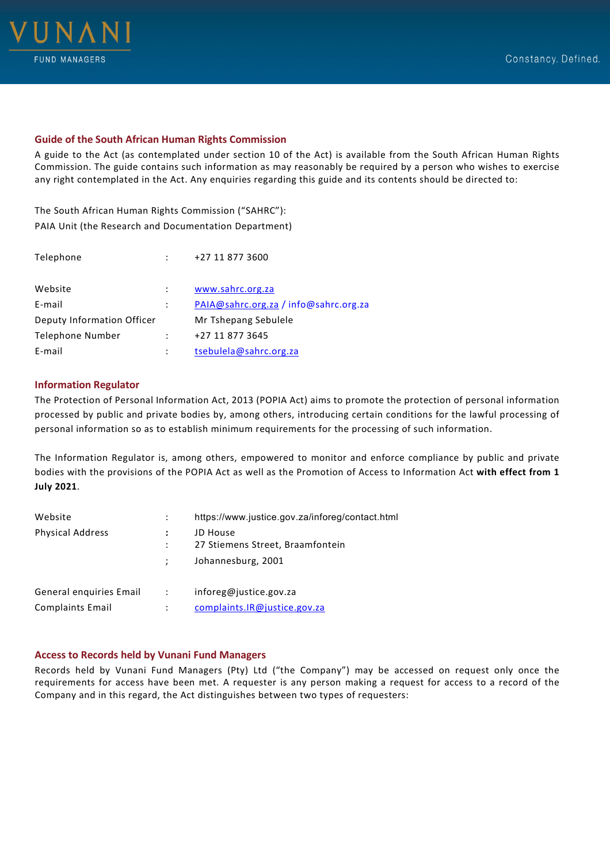

# **Guide of the South African Human Rights Commission**

A guide to the Act (as contemplated under section 10 of the Act) is available from the South African Human Rights Commission. The guide contains such information as may reasonably be required by a person who wishes to exercise any right contemplated in the Act. Any enquiries regarding this guide and its contents should be directed to:

The South African Human Rights Commission ("SAHRC"): PAIA Unit (the Research and Documentation Department)

| Telephone                  |   | +27 11 877 3600                       |
|----------------------------|---|---------------------------------------|
| Website                    |   | www.sahrc.org.za                      |
| E-mail                     | ÷ | PAIA@sahrc.org.za / info@sahrc.org.za |
| Deputy Information Officer |   | Mr Tshepang Sebulele                  |
| Telephone Number           |   | +27 11 877 3645                       |
| E-mail                     |   | tsebulela@sahrc.org.za                |

#### <span id="page-3-0"></span>**Information Regulator**

The Protection of Personal Information Act, 2013 (POPIA Act) aims to promote the protection of personal information processed by public and private bodies by, among others, introducing certain conditions for the lawful processing of personal information so as to establish minimum requirements for the processing of such information.

The Information Regulator is, among others, empowered to monitor and enforce compliance by public and private bodies with the provisions of the POPIA Act as well as the Promotion of Access to Information Act **with effect from 1 July 2021**.

| Website                 |            | https://www.justice.gov.za/inforeg/contact.html |
|-------------------------|------------|-------------------------------------------------|
| <b>Physical Address</b> |            | JD House<br>27 Stiemens Street, Braamfontein    |
|                         |            | Johannesburg, 2001                              |
| General enguiries Email | $\sim 100$ | inforeg@justice.gov.za                          |
| <b>Complaints Email</b> | ÷          | complaints.IR@justice.gov.za                    |

# **Access to Records held by Vunani Fund Managers**

Records held by Vunani Fund Managers (Pty) Ltd ("the Company") may be accessed on request only once the requirements for access have been met. A requester is any person making a request for access to a record of the Company and in this regard, the Act distinguishes between two types of requesters: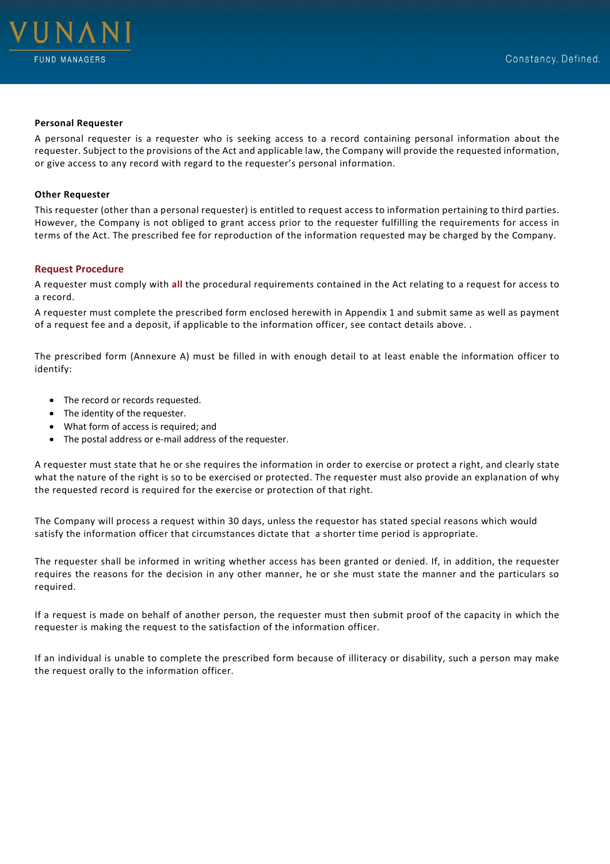

#### **Personal Requester**

A personal requester is a requester who is seeking access to a record containing personal information about the requester. Subject to the provisions of the Act and applicable law, the Company will provide the requested information, or give access to any record with regard to the requester's personal information.

#### **Other Requester**

This requester (other than a personal requester) is entitled to request access to information pertaining to third parties. However, the Company is not obliged to grant access prior to the requester fulfilling the requirements for access in terms of the Act. The prescribed fee for reproduction of the information requested may be charged by the Company.

#### <span id="page-4-0"></span>**Request Procedure**

A requester must comply with **all** the procedural requirements contained in the Act relating to a request for access to a record.

A requester must complete the prescribed form enclosed herewith in Appendix 1 and submit same as well as payment of a request fee and a deposit, if applicable to the information officer, see contact details above. .

The prescribed form (Annexure A) must be filled in with enough detail to at least enable the information officer to identify:

- The record or records requested.
- The identity of the requester.
- What form of access is required; and
- The postal address or e-mail address of the requester.

A requester must state that he or she requires the information in order to exercise or protect a right, and clearly state what the nature of the right is so to be exercised or protected. The requester must also provide an explanation of why the requested record is required for the exercise or protection of that right.

The Company will process a request within 30 days, unless the requestor has stated special reasons which would satisfy the information officer that circumstances dictate that a shorter time period is appropriate.

The requester shall be informed in writing whether access has been granted or denied. If, in addition, the requester requires the reasons for the decision in any other manner, he or she must state the manner and the particulars so required.

If a request is made on behalf of another person, the requester must then submit proof of the capacity in which the requester is making the request to the satisfaction of the information officer.

If an individual is unable to complete the prescribed form because of illiteracy or disability, such a person may make the request orally to the information officer.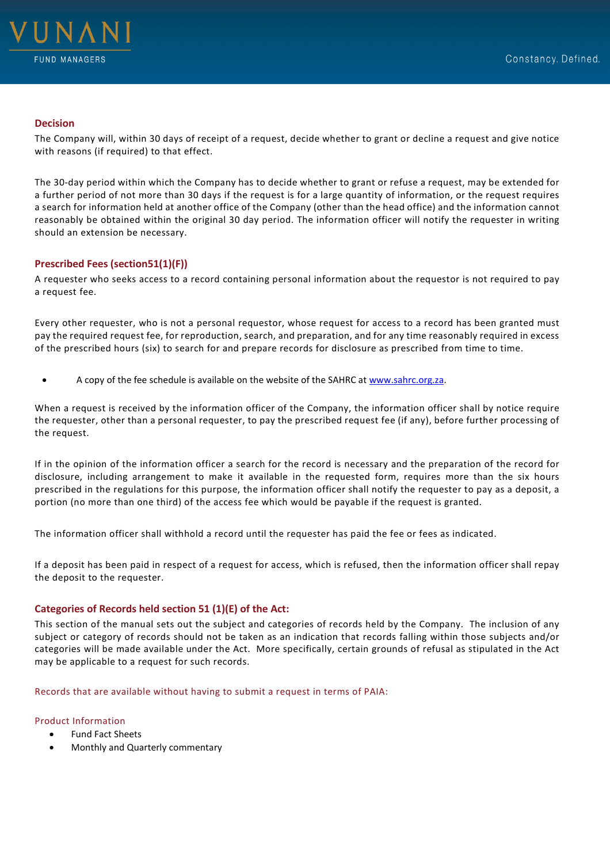

#### <span id="page-5-0"></span>**Decision**

The Company will, within 30 days of receipt of a request, decide whether to grant or decline a request and give notice with reasons (if required) to that effect.

The 30-day period within which the Company has to decide whether to grant or refuse a request, may be extended for a further period of not more than 30 days if the request is for a large quantity of information, or the request requires a search for information held at another office of the Company (other than the head office) and the information cannot reasonably be obtained within the original 30 day period. The information officer will notify the requester in writing should an extension be necessary.

# <span id="page-5-1"></span>**Prescribed Fees (section51(1)(F))**

A requester who seeks access to a record containing personal information about the requestor is not required to pay a request fee.

Every other requester, who is not a personal requestor, whose request for access to a record has been granted must pay the required request fee, for reproduction, search, and preparation, and for any time reasonably required in excess of the prescribed hours (six) to search for and prepare records for disclosure as prescribed from time to time.

• A copy of the fee schedule is available on the website of the SAHRC at [www.sahrc.org.za.](http://www.sahrc.org.za/)

When a request is received by the information officer of the Company, the information officer shall by notice require the requester, other than a personal requester, to pay the prescribed request fee (if any), before further processing of the request.

If in the opinion of the information officer a search for the record is necessary and the preparation of the record for disclosure, including arrangement to make it available in the requested form, requires more than the six hours prescribed in the regulations for this purpose, the information officer shall notify the requester to pay as a deposit, a portion (no more than one third) of the access fee which would be payable if the request is granted.

The information officer shall withhold a record until the requester has paid the fee or fees as indicated.

If a deposit has been paid in respect of a request for access, which is refused, then the information officer shall repay the deposit to the requester.

# <span id="page-5-2"></span>**Categories of Records held section 51 (1)(E) of the Act:**

This section of the manual sets out the subject and categories of records held by the Company. The inclusion of any subject or category of records should not be taken as an indication that records falling within those subjects and/or categories will be made available under the Act. More specifically, certain grounds of refusal as stipulated in the Act may be applicable to a request for such records.

Records that are available without having to submit a request in terms of PAIA:

#### Product Information

- Fund Fact Sheets
- Monthly and Quarterly commentary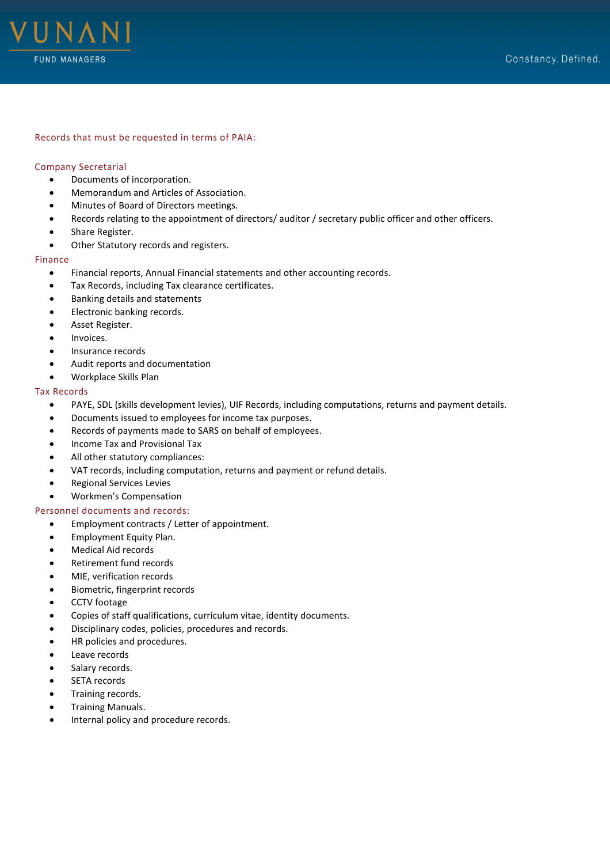

#### Records that must be requested in terms of PAIA:

#### Company Secretarial

- Documents of incorporation.
- Memorandum and Articles of Association.
- Minutes of Board of Directors meetings.
- Records relating to the appointment of directors/ auditor / secretary public officer and other officers.
- Share Register.
- Other Statutory records and registers.

#### Finance

- Financial reports, Annual Financial statements and other accounting records.
- Tax Records, including Tax clearance certificates.
- Banking details and statements
- Electronic banking records.
- Asset Register.
- Invoices.
- Insurance records
- Audit reports and documentation
- Workplace Skills Plan

# Tax Records

- PAYE, SDL (skills development levies), UIF Records, including computations, returns and payment details.
- Documents issued to employees for income tax purposes.
- Records of payments made to SARS on behalf of employees.
- Income Tax and Provisional Tax
- All other statutory compliances:
- VAT records, including computation, returns and payment or refund details.
- Regional Services Levies
- Workmen's Compensation

## Personnel documents and records:

- Employment contracts / Letter of appointment.
- Employment Equity Plan.
- Medical Aid records
- Retirement fund records
- MIE, verification records
- Biometric, fingerprint records
- CCTV footage
- Copies of staff qualifications, curriculum vitae, identity documents.
- Disciplinary codes, policies, procedures and records.
- HR policies and procedures.
- Leave records
- Salary records.
- SETA records
- Training records.
- Training Manuals.
- Internal policy and procedure records.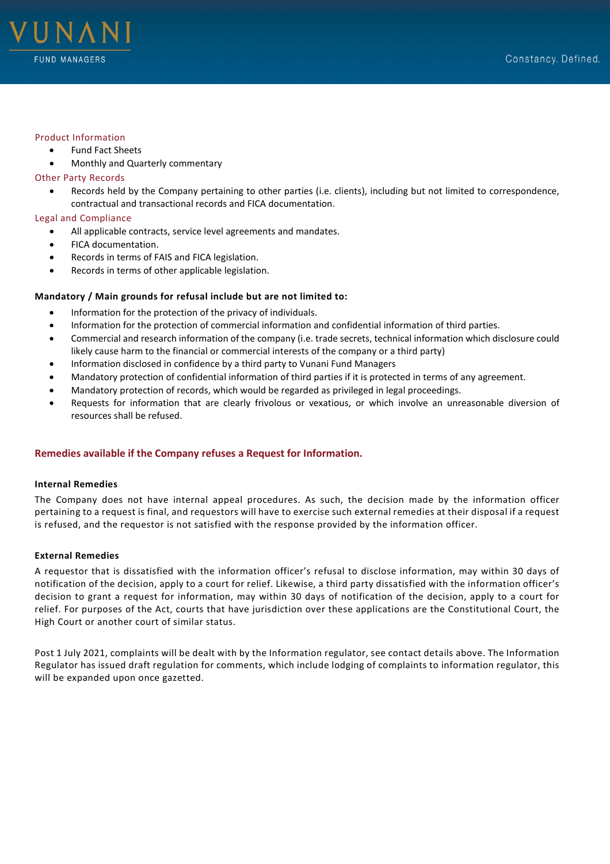



#### Product Information

- Fund Fact Sheets
- Monthly and Quarterly commentary

#### Other Party Records

• Records held by the Company pertaining to other parties (i.e. clients), including but not limited to correspondence, contractual and transactional records and FICA documentation.

## Legal and Compliance

- All applicable contracts, service level agreements and mandates.
- FICA documentation.
- Records in terms of FAIS and FICA legislation.
- Records in terms of other applicable legislation.

#### **Mandatory / Main grounds for refusal include but are not limited to:**

- Information for the protection of the privacy of individuals.
- Information for the protection of commercial information and confidential information of third parties.
- Commercial and research information of the company (i.e. trade secrets, technical information which disclosure could likely cause harm to the financial or commercial interests of the company or a third party)
- Information disclosed in confidence by a third party to Vunani Fund Managers
- Mandatory protection of confidential information of third parties if it is protected in terms of any agreement.
- Mandatory protection of records, which would be regarded as privileged in legal proceedings.
- Requests for information that are clearly frivolous or vexatious, or which involve an unreasonable diversion of resources shall be refused.

# <span id="page-7-0"></span>**Remedies available if the Company refuses a Request for Information.**

#### **Internal Remedies**

The Company does not have internal appeal procedures. As such, the decision made by the information officer pertaining to a request is final, and requestors will have to exercise such external remedies at their disposal if a request is refused, and the requestor is not satisfied with the response provided by the information officer.

#### **External Remedies**

A requestor that is dissatisfied with the information officer's refusal to disclose information, may within 30 days of notification of the decision, apply to a court for relief. Likewise, a third party dissatisfied with the information officer's decision to grant a request for information, may within 30 days of notification of the decision, apply to a court for relief. For purposes of the Act, courts that have jurisdiction over these applications are the Constitutional Court, the High Court or another court of similar status.

Post 1 July 2021, complaints will be dealt with by the Information regulator, see contact details above. The Information Regulator has issued draft regulation for comments, which include lodging of complaints to information regulator, this will be expanded upon once gazetted.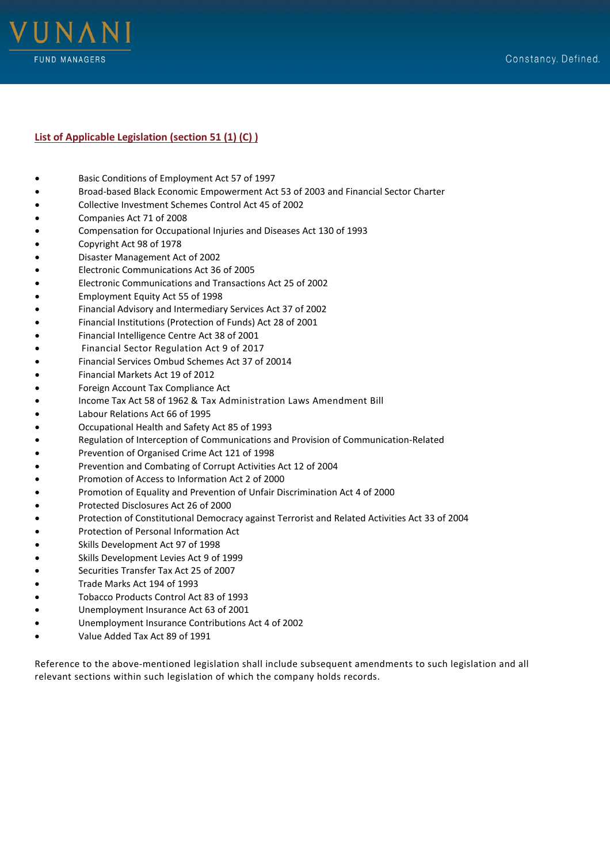

# <span id="page-8-0"></span>**List of Applicable Legislation (section 51 (1) (C) )**

- Basic Conditions of Employment Act 57 of 1997
- Broad-based Black Economic Empowerment Act 53 of 2003 and Financial Sector Charter
- Collective Investment Schemes Control Act 45 of 2002
- Companies Act 71 of 2008
- Compensation for Occupational Injuries and Diseases Act 130 of 1993
- Copyright Act 98 of 1978
- Disaster Management Act of 2002
- Electronic Communications Act 36 of 2005
- Electronic Communications and Transactions Act 25 of 2002
- Employment Equity Act 55 of 1998
- Financial Advisory and Intermediary Services Act 37 of 2002
- Financial Institutions (Protection of Funds) Act 28 of 2001
- Financial Intelligence Centre Act 38 of 2001
- Financial Sector Regulation Act 9 of 2017
- Financial Services Ombud Schemes Act 37 of 20014
- Financial Markets Act 19 of 2012
- Foreign Account Tax Compliance Act
- Income Tax Act 58 of 1962 & Tax Administration Laws Amendment Bill
- Labour Relations Act 66 of 1995
- Occupational Health and Safety Act 85 of 1993
- Regulation of Interception of Communications and Provision of Communication-Related
- Prevention of Organised Crime Act 121 of 1998
- Prevention and Combating of Corrupt Activities Act 12 of 2004
- Promotion of Access to Information Act 2 of 2000
- Promotion of Equality and Prevention of Unfair Discrimination Act 4 of 2000
- Protected Disclosures Act 26 of 2000
- Protection of Constitutional Democracy against Terrorist and Related Activities Act 33 of 2004
- Protection of Personal Information Act
- Skills Development Act 97 of 1998
- Skills Development Levies Act 9 of 1999
- Securities Transfer Tax Act 25 of 2007
- Trade Marks Act 194 of 1993
- Tobacco Products Control Act 83 of 1993
- Unemployment Insurance Act 63 of 2001
- Unemployment Insurance Contributions Act 4 of 2002
- Value Added Tax Act 89 of 1991

Reference to the above-mentioned legislation shall include subsequent amendments to such legislation and all relevant sections within such legislation of which the company holds records.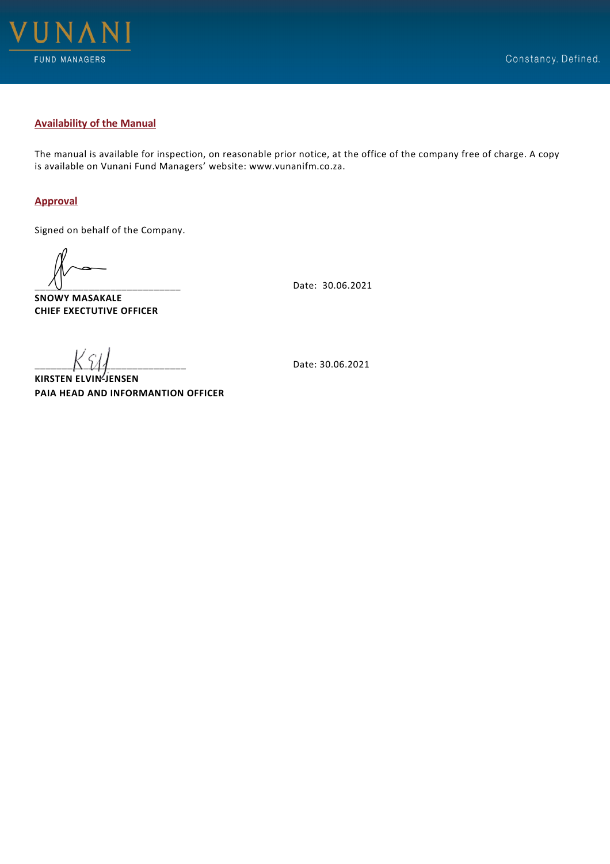

# <span id="page-9-0"></span>**Availability of the Manual**

The manual is available for inspection, on reasonable prior notice, at the office of the company free of charge. A copy is available on Vunani Fund Managers' website: www.vunanifm.co.za.

# <span id="page-9-1"></span>**Approval**

Signed on behalf of the Company.

**SNOWY MASAKALE CHIEF EXECTUTIVE OFFICER**

\_\_\_\_\_\_\_\_\_\_\_\_\_\_\_\_\_\_\_\_\_\_\_\_\_\_\_ Date: 30.06.2021

**KIRSTEN ELVIN-JENSEN PAIA HEAD AND INFORMANTION OFFICER**

\_\_\_\_\_\_\_\_\_\_\_\_\_\_\_\_\_\_\_\_\_\_\_\_\_\_\_\_ Date: 30.06.2021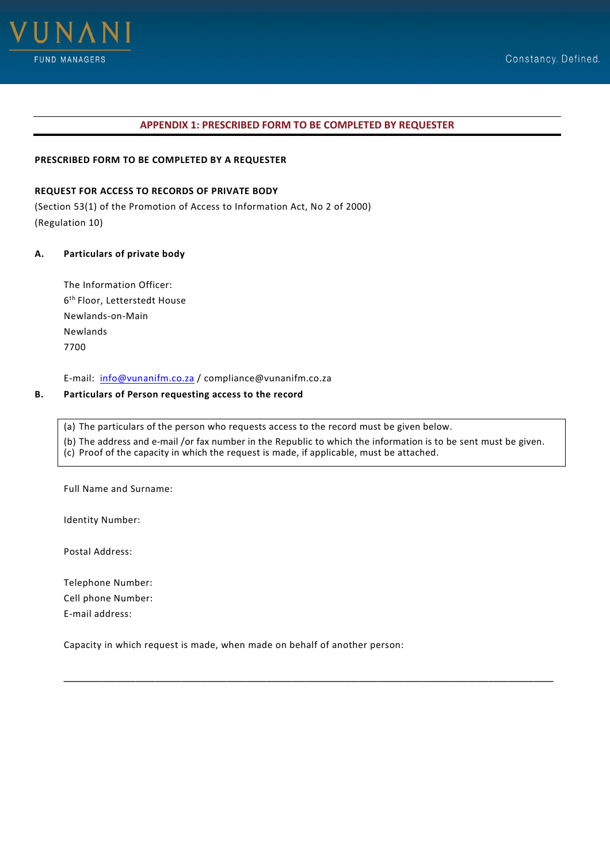

# **APPENDIX 1: PRESCRIBED FORM TO BE COMPLETED BY REQUESTER**

# <span id="page-10-0"></span>**PRESCRIBED FORM TO BE COMPLETED BY A REQUESTER**

# **REQUEST FOR ACCESS TO RECORDS OF PRIVATE BODY**

(Section 53(1) of the Promotion of Access to Information Act, No 2 of 2000) (Regulation 10)

#### **A. Particulars of private body**

The Information Officer: 6th Floor, Letterstedt House Newlands-on-Main Newlands 7700

E-mail: [info@vunanifm.co.za](mailto:info@vunanifm.co.za) / compliance@vunanifm.co.za

# **B. Particulars of Person requesting access to the record**

(a) The particulars of the person who requests access to the record must be given below. (b) The address and e-mail /or fax number in the Republic to which the information is to be sent must be given. (c) Proof of the capacity in which the request is made, if applicable, must be attached.

\_\_\_\_\_\_\_\_\_\_\_\_\_\_\_\_\_\_\_\_\_\_\_\_\_\_\_\_\_\_\_\_\_\_\_\_\_\_\_\_\_\_\_\_\_\_\_\_\_\_\_\_\_\_\_\_\_\_\_\_\_\_\_\_\_\_\_\_\_\_\_\_\_\_\_

Full Name and Surname:

Identity Number:

Postal Address:

Telephone Number: Cell phone Number: E-mail address:

Capacity in which request is made, when made on behalf of another person: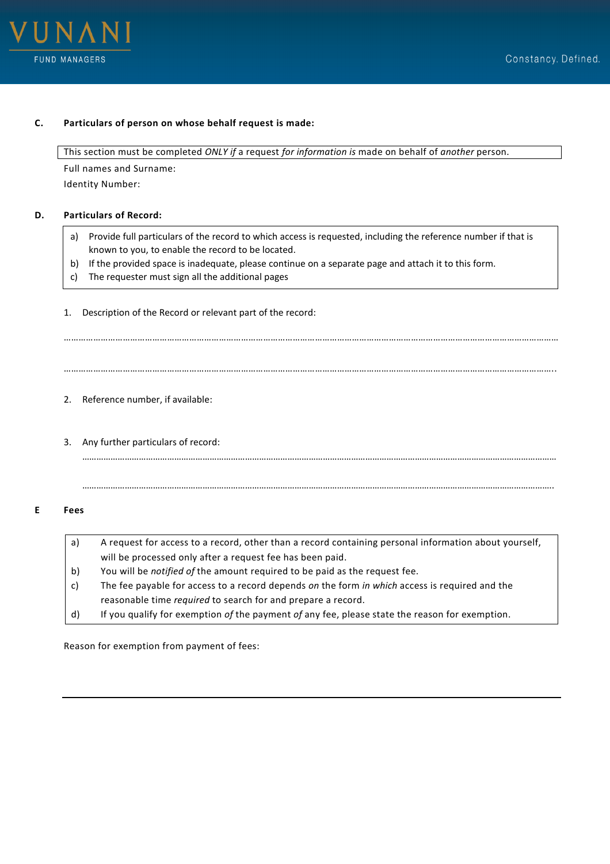



# **C. Particulars of person on whose behalf request is made:**

This section must be completed *ONLY if* a request *for information is* made on behalf of *another* person.

Full names and Surname: Identity Number:

# **D. Particulars of Record:**

a) Provide full particulars of the record to which access is requested, including the reference number if that is known to you, to enable the record to be located.

…………………………………………………………………………………………………………………………………………………………………………………

…………………………………………………………………………………………………………………………………………………………………………………

………………………………………………………………………………………………………………………………………………………………………………..

………………………………………………………………………………………………………………………………………………………………………………..

- b) If the provided space is inadequate, please continue on a separate page and attach it to this form.
- c) The requester must sign all the additional pages
- 1. Description of the Record or relevant part of the record:

2. Reference number, if available:

3. Any further particulars of record:

# **E Fees**

| a) | A request for access to a record, other than a record containing personal information about yourself, |
|----|-------------------------------------------------------------------------------------------------------|
|    | will be processed only after a request fee has been paid.                                             |
| b) | You will be <i>notified of</i> the amount required to be paid as the request fee.                     |
| C) | The fee payable for access to a record depends on the form in which access is required and the        |
|    | reasonable time required to search for and prepare a record.                                          |
| d) | If you qualify for exemption of the payment of any fee, please state the reason for exemption.        |
|    |                                                                                                       |

Reason for exemption from payment of fees: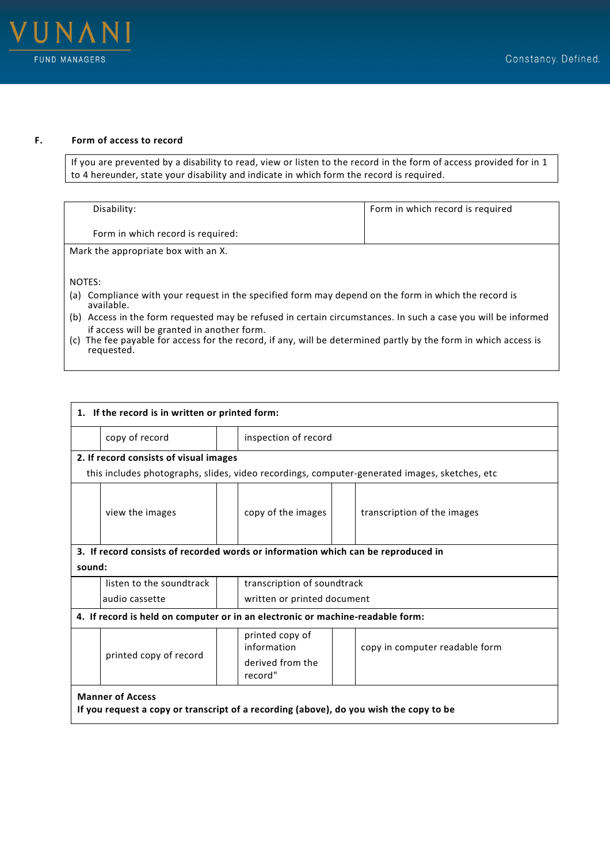

# **F. Form of access to record**

If you are prevented by a disability to read, view or listen to the record in the form of access provided for in 1 to 4 hereunder, state your disability and indicate in which form the record is required.

| Disability:                                                                                                                      | Form in which record is required |  |  |
|----------------------------------------------------------------------------------------------------------------------------------|----------------------------------|--|--|
| Form in which record is required:                                                                                                |                                  |  |  |
| Mark the appropriate box with an X.                                                                                              |                                  |  |  |
|                                                                                                                                  |                                  |  |  |
| NOTES:                                                                                                                           |                                  |  |  |
| Compliance with your request in the specified form may depend on the form in which the record is<br>(a)<br>available.            |                                  |  |  |
| (b) Access in the form requested may be refused in certain circumstances. In such a case you will be informed                    |                                  |  |  |
| if access will be granted in another form.                                                                                       |                                  |  |  |
| The fee payable for access for the record, if any, will be determined partly by the form in which access is<br>(C)<br>requested. |                                  |  |  |

| 1. If the record is in written or printed form: |                                                                                                                   |                             |                                                               |  |                                                                                               |  |
|-------------------------------------------------|-------------------------------------------------------------------------------------------------------------------|-----------------------------|---------------------------------------------------------------|--|-----------------------------------------------------------------------------------------------|--|
|                                                 | copy of record                                                                                                    |                             | inspection of record                                          |  |                                                                                               |  |
|                                                 | 2. If record consists of visual images                                                                            |                             |                                                               |  |                                                                                               |  |
|                                                 |                                                                                                                   |                             |                                                               |  | this includes photographs, slides, video recordings, computer-generated images, sketches, etc |  |
|                                                 | view the images                                                                                                   |                             | copy of the images                                            |  | transcription of the images                                                                   |  |
|                                                 | 3. If record consists of recorded words or information which can be reproduced in                                 |                             |                                                               |  |                                                                                               |  |
| sound:                                          |                                                                                                                   |                             |                                                               |  |                                                                                               |  |
|                                                 | listen to the soundtrack                                                                                          | transcription of soundtrack |                                                               |  |                                                                                               |  |
|                                                 | audio cassette                                                                                                    |                             | written or printed document                                   |  |                                                                                               |  |
|                                                 | 4. If record is held on computer or in an electronic or machine-readable form:                                    |                             |                                                               |  |                                                                                               |  |
|                                                 | printed copy of record                                                                                            |                             | printed copy of<br>information<br>derived from the<br>record" |  | copy in computer readable form                                                                |  |
|                                                 | <b>Manner of Access</b><br>If you request a copy or transcript of a recording (above), do you wish the copy to be |                             |                                                               |  |                                                                                               |  |